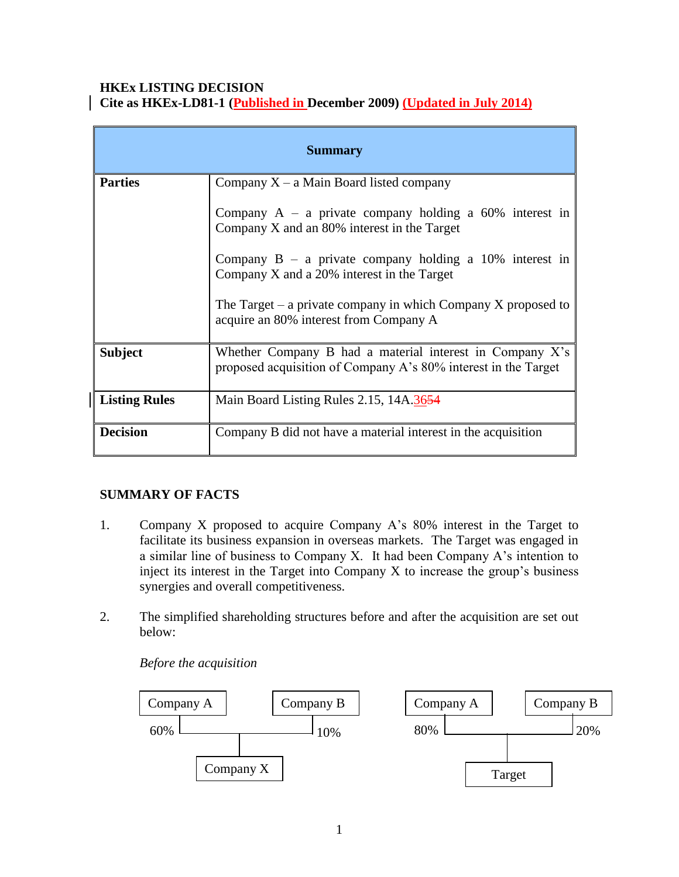## **HKEx LISTING DECISION Cite as HKEx-LD81-1 (Published in December 2009) (Updated in July 2014)**

| <b>Summary</b>       |                                                                                                                               |
|----------------------|-------------------------------------------------------------------------------------------------------------------------------|
| <b>Parties</b>       | Company $X - a$ Main Board listed company                                                                                     |
|                      | Company $A - a$ private company holding a 60% interest in<br>Company X and an 80% interest in the Target                      |
|                      | Company $B - a$ private company holding a 10% interest in<br>Company X and a 20% interest in the Target                       |
|                      | The Target $-$ a private company in which Company X proposed to<br>acquire an 80% interest from Company A                     |
| <b>Subject</b>       | Whether Company B had a material interest in Company $X$ 's<br>proposed acquisition of Company A's 80% interest in the Target |
| <b>Listing Rules</b> | Main Board Listing Rules 2.15, 14A.3654                                                                                       |
| <b>Decision</b>      | Company B did not have a material interest in the acquisition                                                                 |

# **SUMMARY OF FACTS**

- 1. Company X proposed to acquire Company A's 80% interest in the Target to facilitate its business expansion in overseas markets. The Target was engaged in a similar line of business to Company X. It had been Company A's intention to inject its interest in the Target into Company X to increase the group's business synergies and overall competitiveness.
- 2. The simplified shareholding structures before and after the acquisition are set out below:

*Before the acquisition*

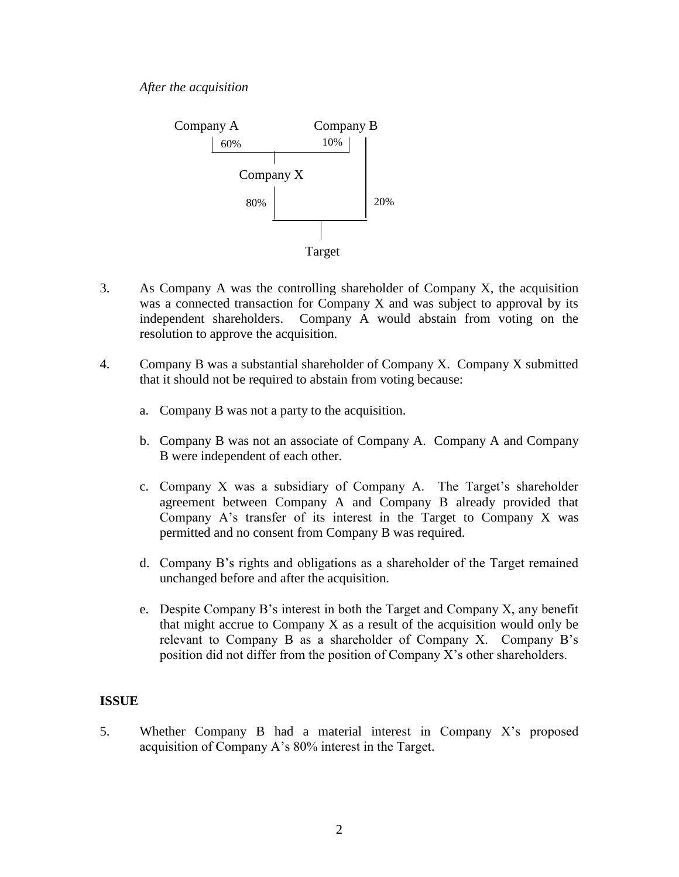

- 3. As Company A was the controlling shareholder of Company X, the acquisition was a connected transaction for Company X and was subject to approval by its independent shareholders. Company A would abstain from voting on the resolution to approve the acquisition.
- 4. Company B was a substantial shareholder of Company X. Company X submitted that it should not be required to abstain from voting because:
	- a. Company B was not a party to the acquisition.
	- b. Company B was not an associate of Company A. Company A and Company B were independent of each other.
	- c. Company X was a subsidiary of Company A. The Target's shareholder agreement between Company A and Company B already provided that Company A's transfer of its interest in the Target to Company X was permitted and no consent from Company B was required.
	- d. Company B's rights and obligations as a shareholder of the Target remained unchanged before and after the acquisition.
	- e. Despite Company B's interest in both the Target and Company X, any benefit that might accrue to Company X as a result of the acquisition would only be relevant to Company B as a shareholder of Company X. Company B's position did not differ from the position of Company X's other shareholders.

# **ISSUE**

5. Whether Company B had a material interest in Company X's proposed acquisition of Company A's 80% interest in the Target.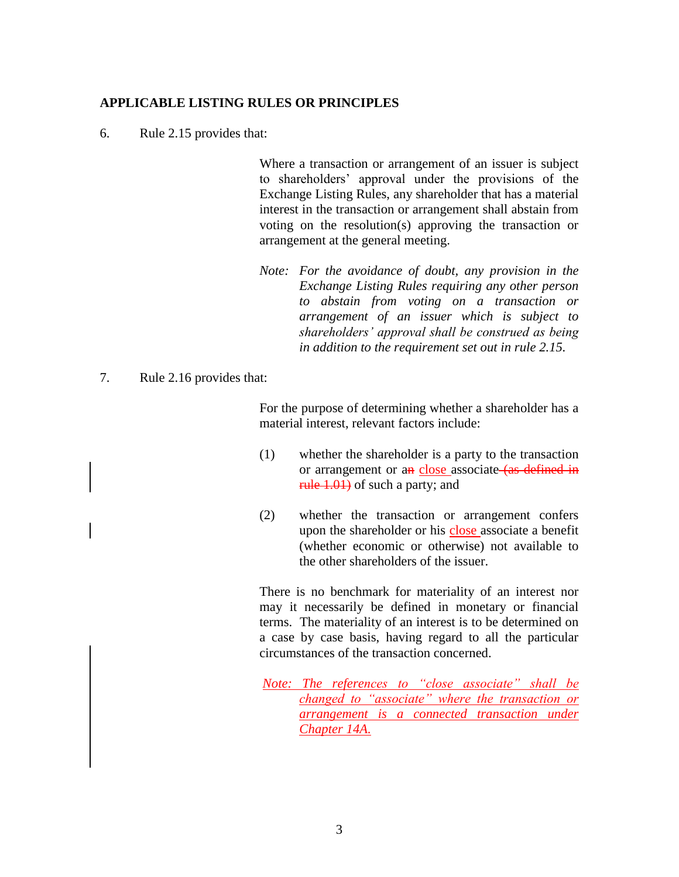#### **APPLICABLE LISTING RULES OR PRINCIPLES**

6. Rule 2.15 provides that:

Where a transaction or arrangement of an issuer is subject to shareholders' approval under the provisions of the Exchange Listing Rules, any shareholder that has a material interest in the transaction or arrangement shall abstain from voting on the resolution(s) approving the transaction or arrangement at the general meeting.

- *Note: For the avoidance of doubt, any provision in the Exchange Listing Rules requiring any other person to abstain from voting on a transaction or arrangement of an issuer which is subject to shareholders' approval shall be construed as being in addition to the requirement set out in rule 2.15.*
- 7. Rule 2.16 provides that:

For the purpose of determining whether a shareholder has a material interest, relevant factors include:

- (1) whether the shareholder is a party to the transaction or arrangement or an close associate (as defined in rule 1.01) of such a party; and
- (2) whether the transaction or arrangement confers upon the shareholder or his close associate a benefit (whether economic or otherwise) not available to the other shareholders of the issuer.

There is no benchmark for materiality of an interest nor may it necessarily be defined in monetary or financial terms. The materiality of an interest is to be determined on a case by case basis, having regard to all the particular circumstances of the transaction concerned.

*Note: The references to "close associate" shall be changed to "associate" where the transaction or arrangement is a connected transaction under Chapter 14A.*